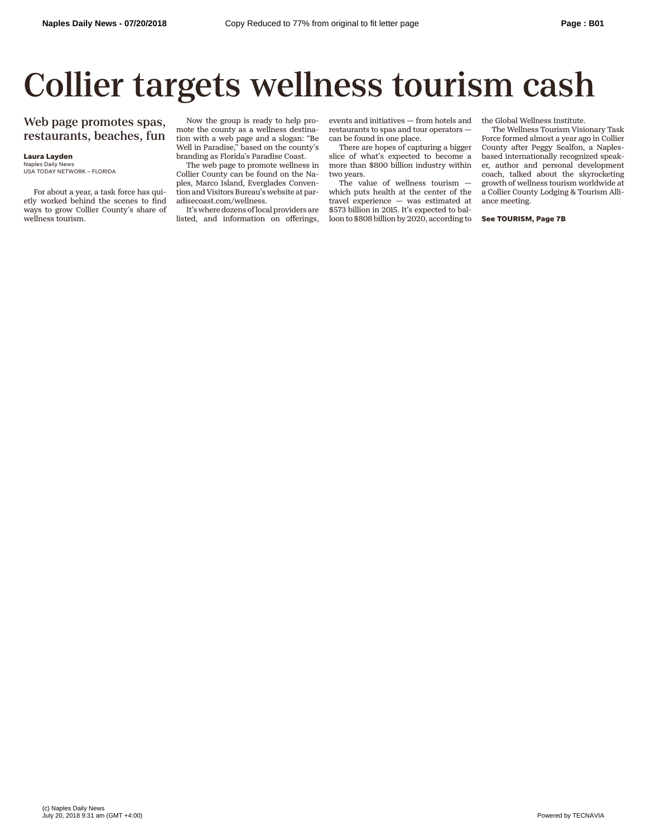## Collier targets wellness tourism cash

## Web page promotes spas, restaurants, beaches, fun

## **Laura Layden** Naples Daily News

USA TODAY NETWORK – FLORIDA

For about a year, a task force has quietly worked behind the scenes to find ways to grow Collier County's share of wellness tourism.

Now the group is ready to help promote the county as a wellness destination with a web page and a slogan: "Be Well in Paradise," based on the county's branding as Florida's Paradise Coast.

The web page to promote wellness in Collier County can be found on the Naples, Marco Island, Everglades Convention and Visitors Bureau's website at paradisecoast.com/wellness.

It's where dozens of local providers are listed, and information on offerings,

events and initiatives — from hotels and restaurants to spas and tour operators can be found in one place.

There are hopes of capturing a bigger slice of what's expected to become a more than \$800 billion industry within two years.

The value of wellness tourism which puts health at the center of the travel experience — was estimated at \$573 billion in 2015. It's expected to balloon to \$808 billion by 2020, according to the Global Wellness Institute.

The Wellness Tourism Visionary Task Force formed almost a year ago in Collier County after Peggy Sealfon, a Naplesbased internationally recognized speaker, author and personal development coach, talked about the skyrocketing growth of wellness tourism worldwide at a Collier County Lodging & Tourism Alliance meeting.

**See TOURISM, Page 7B**